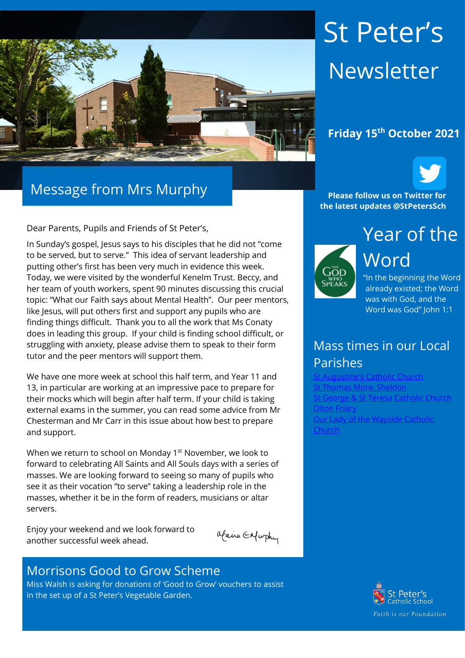

# Message from Mrs Murphy

Dear Parents, Pupils and Friends of St Peter's,

In Sunday's gospel, Jesus says to his disciples that he did not "come to be served, but to serve." This idea of servant leadership and putting other's first has been very much in evidence this week. Today, we were visited by the wonderful Kenelm Trust. Beccy, and her team of youth workers, spent 90 minutes discussing this crucial topic: "What our Faith says about Mental Health". Our peer mentors, like Jesus, will put others first and support any pupils who are finding things difficult. Thank you to all the work that Ms Conaty does in leading this group. If your child is finding school difficult, or struggling with anxiety, please advise them to speak to their form tutor and the peer mentors will support them.

We have one more week at school this half term, and Year 11 and 13, in particular are working at an impressive pace to prepare for their mocks which will begin after half term. If your child is taking external exams in the summer, you can read some advice from Mr Chesterman and Mr Carr in this issue about how best to prepare and support.

When we return to school on Monday 1<sup>st</sup> November, we look to forward to celebrating All Saints and All Souls days with a series of masses. We are looking forward to seeing so many of pupils who see it as their vocation "to serve" taking a leadership role in the masses, whether it be in the form of readers, musicians or altar servers.

Enjoy your weekend and we look forward to another successful week ahead.

Maine Enfurthy

#### Morrisons Good to Grow Scheme

Miss Walsh is asking for donations of 'Good to Grow' vouchers to assist in the set up of a St Peter's Vegetable Garden.

# St Peter's Newsletter

## **Friday 15th October 2021**



**Please follow us on Twitter for the latest updates @StPetersSch**



Year of the Word "In the beginning the Word

already existed; the Word was with God, and the Word was God" John 1:1

## Mass times in our Local Parishes

Catholic Church [St Thomas More, Sheldon](https://www.stthomasmorercchurch.com/) **[St George & St Teresa Catholic Church](https://www.catholicchurch.dorridge.uk/)** [Olton Friary](https://www.oltonfriary.org.uk/) [Our Lady of the Wayside Catholic](http://ourladyofthewaysidechurchshirley.co.uk/)  [Church](http://ourladyofthewaysidechurchshirley.co.uk/)

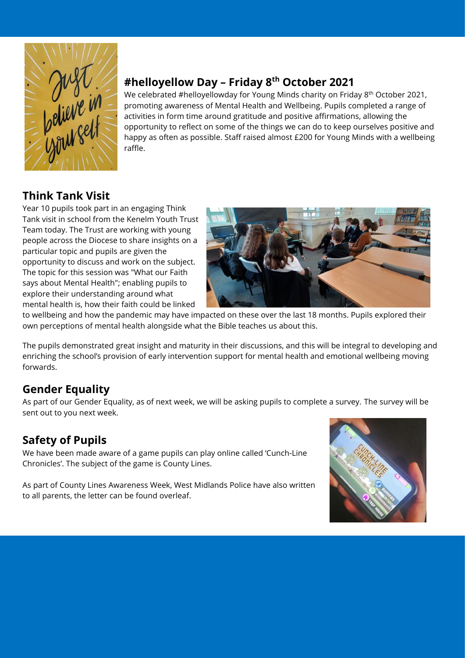

## **#helloyellow Day – Friday 8 th October 2021**

We celebrated #helloyellowday for Young Minds charity on Friday 8<sup>th</sup> October 2021, promoting awareness of Mental Health and Wellbeing. Pupils completed a range of activities in form time around gratitude and positive affirmations, allowing the opportunity to reflect on some of the things we can do to keep ourselves positive and happy as often as possible. Staff raised almost £200 for Young Minds with a wellbeing raffle.

## **Think Tank Visit**

Year 10 pupils took part in an engaging Think Tank visit in school from the Kenelm Youth Trust Team today. The Trust are working with young people across the Diocese to share insights on a particular topic and pupils are given the opportunity to discuss and work on the subject. The topic for this session was "What our Faith says about Mental Health"; enabling pupils to explore their understanding around what mental health is, how their faith could be linked



to wellbeing and how the pandemic may have impacted on these over the last 18 months. Pupils explored their own perceptions of mental health alongside what the Bible teaches us about this.

The pupils demonstrated great insight and maturity in their discussions, and this will be integral to developing and enriching the school's provision of early intervention support for mental health and emotional wellbeing moving forwards.

## **Gender Equality**

As part of our Gender Equality, as of next week, we will be asking pupils to complete a survey. The survey will be sent out to you next week.

## **Safety of Pupils**

We have been made aware of a game pupils can play online called 'Cunch-Line Chronicles'. The subject of the game is County Lines.

As part of County Lines Awareness Week, West Midlands Police have also written to all parents, the letter can be found overleaf.

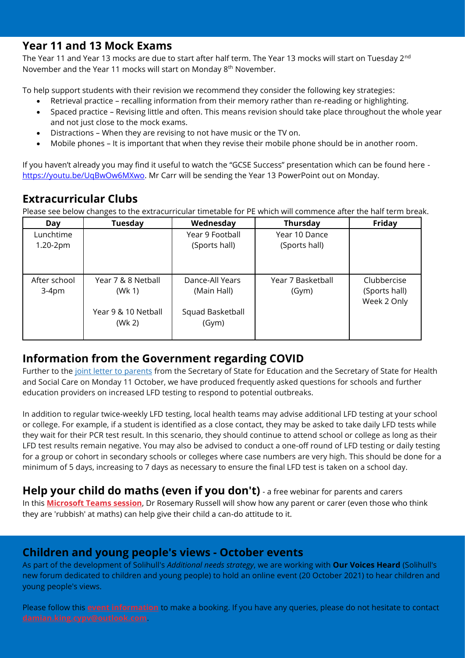#### **Year 11 and 13 Mock Exams**

The Year 11 and Year 13 mocks are due to start after half term. The Year 13 mocks will start on Tuesday 2<sup>nd</sup> November and the Year 11 mocks will start on Monday 8th November.

To help support students with their revision we recommend they consider the following key strategies:

- Retrieval practice recalling information from their memory rather than re-reading or highlighting.
- Spaced practice Revising little and often. This means revision should take place throughout the whole year and not just close to the mock exams.
- Distractions When they are revising to not have music or the TV on.
- Mobile phones It is important that when they revise their mobile phone should be in another room.

If you haven't already you may find it useful to watch the "GCSE Success" presentation which can be found here [https://youtu.be/UqBwOw6MXwo.](https://youtu.be/UqBwOw6MXwo) Mr Carr will be sending the Year 13 PowerPoint out on Monday.

## **Extracurricular Clubs**

Please see below changes to the extracurricular timetable for PE which will commence after the half term break.

| Day          | Tuesday             | Wednesday        | <b>Thursday</b>   | Friday        |
|--------------|---------------------|------------------|-------------------|---------------|
| Lunchtime    |                     | Year 9 Football  | Year 10 Dance     |               |
| $1.20-2pm$   |                     | (Sports hall)    | (Sports hall)     |               |
|              |                     |                  |                   |               |
| After school | Year 7 & 8 Netball  | Dance-All Years  | Year 7 Basketball | Clubbercise   |
| $3-4pm$      | (Wk 1)              | (Main Hall)      | (Gym)             | (Sports hall) |
|              |                     |                  |                   | Week 2 Only   |
|              | Year 9 & 10 Netball | Squad Basketball |                   |               |
|              | (Wk 2)              | (Gym)            |                   |               |
|              |                     |                  |                   |               |

#### **Information from the Government regarding COVID**

Further to the [joint letter to parents](https://protect-eu.mimecast.com/s/Lvv3C8Mz3twAWjT2SfFM?domain=educationhub.blog.gov.uk) from the Secretary of State for Education and the Secretary of State for Health and Social Care on Monday 11 October, we have produced frequently asked questions for schools and further education providers on increased LFD testing to respond to potential outbreaks.

In addition to regular twice-weekly LFD testing, local health teams may advise additional LFD testing at your school or college. For example, if a student is identified as a close contact, they may be asked to take daily LFD tests while they wait for their PCR test result. In this scenario, they should continue to attend school or college as long as their LFD test results remain negative. You may also be advised to conduct a one-off round of LFD testing or daily testing for a group or cohort in secondary schools or colleges where case numbers are very high. This should be done for a minimum of 5 days, increasing to 7 days as necessary to ensure the final LFD test is taken on a school day.

## **Help your child do maths (even if you don't)** *-* a free webinar for parents and carers

In this **[Microsoft Teams session](https://protect-eu.mimecast.com/s/nBoHCkrj2UqBoyult6EV?domain=lnks.gd)**, Dr Rosemary Russell will show how any parent or carer (even those who think they are 'rubbish' at maths) can help give their child a can-do attitude to it.

#### **Children and young people's views - October events**

As part of the development of Solihull's *Additional needs strategy*, we are working with **Our Voices Heard** (Solihull's new forum dedicated to children and young people) to hold an online event (20 October 2021) to hear children and young people's views.

Please follow this **[event information](https://protect-eu.mimecast.com/s/0LSrCmY0qfRlkoCRpu5_?domain=lnks.gd)** to make a booking. If you have any queries, please do not hesitate to contact **[damian.king.cypv@outlook.com](mailto:damian.king.cypv@outlook.com)**.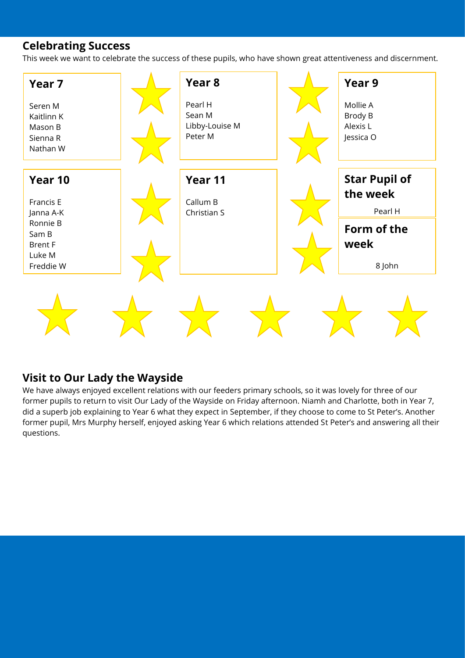#### **Celebrating Success**

This week we want to celebrate the success of these pupils, who have shown great attentiveness and discernment.



#### **Visit to Our Lady the Wayside**

We have always enjoyed excellent relations with our feeders primary schools, so it was lovely for three of our former pupils to return to visit Our Lady of the Wayside on Friday afternoon. Niamh and Charlotte, both in Year 7, did a superb job explaining to Year 6 what they expect in September, if they choose to come to St Peter's. Another former pupil, Mrs Murphy herself, enjoyed asking Year 6 which relations attended St Peter's and answering all their questions.